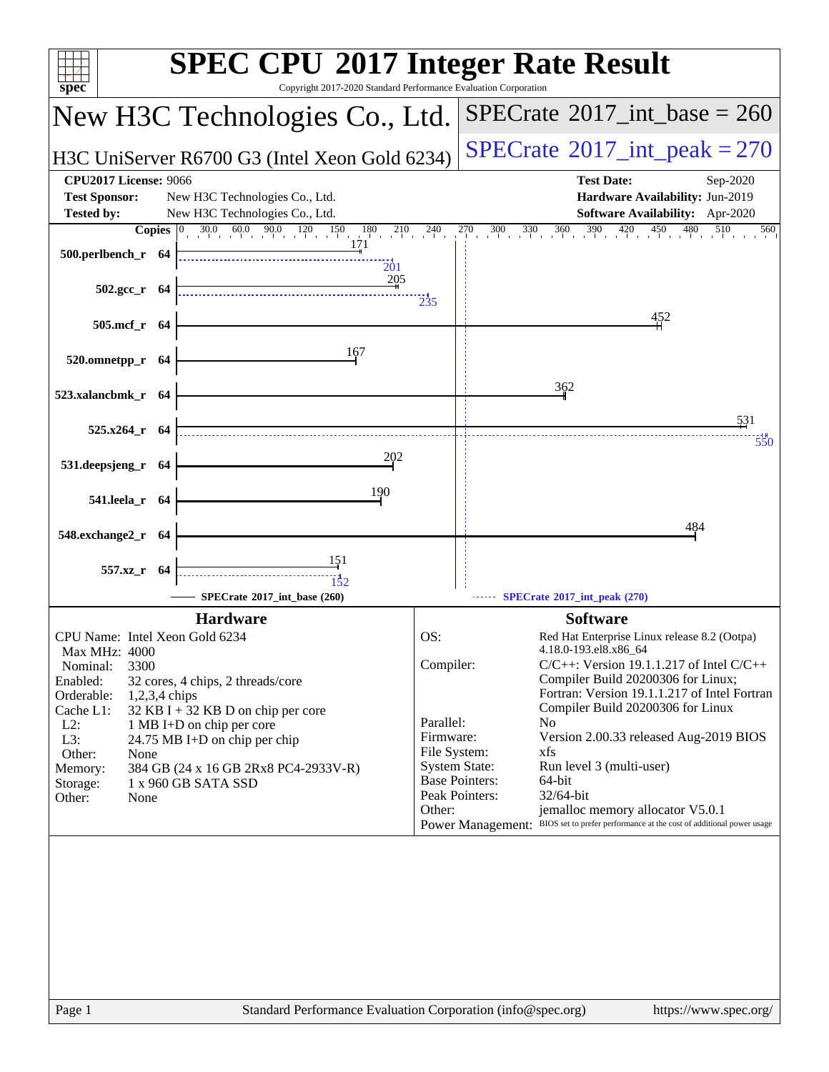| $spec^*$                                                                                                                                      | <b>SPEC CPU®2017 Integer Rate Result</b><br>Copyright 2017-2020 Standard Performance Evaluation Corporation                                                                   |
|-----------------------------------------------------------------------------------------------------------------------------------------------|-------------------------------------------------------------------------------------------------------------------------------------------------------------------------------|
| New H3C Technologies Co., Ltd.                                                                                                                | $SPECrate^{\circ}2017\_int\_base = 260$                                                                                                                                       |
| H3C UniServer R6700 G3 (Intel Xeon Gold 6234)                                                                                                 | $SPECTate$ <sup>®</sup> 2017_int_peak = 270                                                                                                                                   |
| <b>CPU2017 License: 9066</b><br><b>Test Sponsor:</b><br>New H3C Technologies Co., Ltd.<br><b>Tested by:</b><br>New H3C Technologies Co., Ltd. | <b>Test Date:</b><br>Sep-2020<br>Hardware Availability: Jun-2019<br>Software Availability: Apr-2020                                                                           |
| 500.perlbench_r 64<br>201<br>205                                                                                                              | <b>Copies</b> $\begin{bmatrix} 0 & 30.0 & 60.0 & 90.0 & 120 & 150 & 180 & 210 & 240 & 270 & 300 & 330 & 360 & 390 & 420 & 450 & 180 \end{bmatrix}$<br>560                     |
| $502.\text{gcc}_r$ 64<br>505.mcf_r 64                                                                                                         | $\frac{1}{2}35$<br>452                                                                                                                                                        |
| 167<br>520.omnetpp_r 64                                                                                                                       |                                                                                                                                                                               |
| 523.xalancbmk_r 64                                                                                                                            | 362                                                                                                                                                                           |
| $525.x264$ r 64<br>202                                                                                                                        | 531<br>550                                                                                                                                                                    |
| 531.deepsjeng_r 64<br>190<br>541.leela_r 64                                                                                                   |                                                                                                                                                                               |
| 548.exchange2_r 64                                                                                                                            | 484                                                                                                                                                                           |
| 151<br>557.xz_r 64<br>152<br>SPECrate*2017_int_base (260)                                                                                     | SPECrate®2017_int_peak (270)                                                                                                                                                  |
|                                                                                                                                               |                                                                                                                                                                               |
| <b>Hardware</b><br>CPU Name: Intel Xeon Gold 6234<br>Max MHz: 4000                                                                            | <b>Software</b><br>OS:<br>Red Hat Enterprise Linux release 8.2 (Ootpa)<br>4.18.0-193.el8.x86.64                                                                               |
| 3300<br>Nominal:<br>Enabled:<br>32 cores, 4 chips, 2 threads/core<br>Orderable:<br>1,2,3,4 chips                                              | Compiler:<br>$C/C++$ : Version 19.1.1.217 of Intel $C/C++$<br>Compiler Build 20200306 for Linux;<br>Fortran: Version 19.1.1.217 of Intel Fortran                              |
| Cache L1:<br>$32$ KB I + 32 KB D on chip per core<br>$L2$ :<br>1 MB I+D on chip per core<br>L3:<br>24.75 MB I+D on chip per chip              | Compiler Build 20200306 for Linux<br>Parallel:<br>N <sub>0</sub><br>Firmware:<br>Version 2.00.33 released Aug-2019 BIOS                                                       |
| Other:<br>None<br>Memory:<br>384 GB (24 x 16 GB 2Rx8 PC4-2933V-R)<br>1 x 960 GB SATA SSD<br>Storage:                                          | File System:<br>xfs<br><b>System State:</b><br>Run level 3 (multi-user)<br><b>Base Pointers:</b><br>64-bit                                                                    |
| Other:<br>None                                                                                                                                | Peak Pointers:<br>32/64-bit<br>jemalloc memory allocator V5.0.1<br>Other:<br>BIOS set to prefer performance at the cost of additional power usage<br><b>Power Management:</b> |
|                                                                                                                                               |                                                                                                                                                                               |
| Page 1                                                                                                                                        | Standard Performance Evaluation Corporation (info@spec.org)<br>https://www.spec.org/                                                                                          |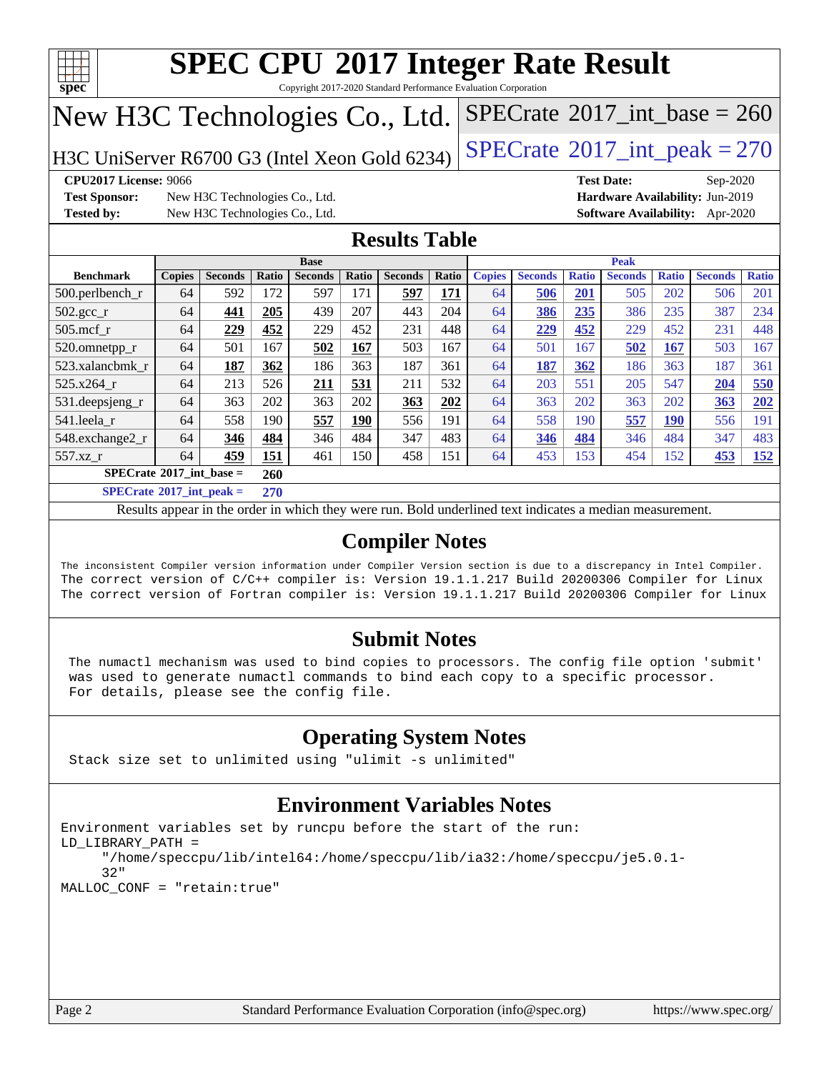

Copyright 2017-2020 Standard Performance Evaluation Corporation

# New H3C Technologies Co., Ltd.

H3C UniServer R6700 G3 (Intel Xeon Gold 6234) [SPECrate](http://www.spec.org/auto/cpu2017/Docs/result-fields.html#SPECrate2017intpeak)<sup>®</sup>[2017\\_int\\_peak = 2](http://www.spec.org/auto/cpu2017/Docs/result-fields.html#SPECrate2017intpeak)70

 $SPECTate$ <sup>®</sup>[2017\\_int\\_base =](http://www.spec.org/auto/cpu2017/Docs/result-fields.html#SPECrate2017intbase) 260

**[Test Sponsor:](http://www.spec.org/auto/cpu2017/Docs/result-fields.html#TestSponsor)** New H3C Technologies Co., Ltd. **[Hardware Availability:](http://www.spec.org/auto/cpu2017/Docs/result-fields.html#HardwareAvailability)** Jun-2019 **[Tested by:](http://www.spec.org/auto/cpu2017/Docs/result-fields.html#Testedby)** New H3C Technologies Co., Ltd. **[Software Availability:](http://www.spec.org/auto/cpu2017/Docs/result-fields.html#SoftwareAvailability)** Apr-2020

**[CPU2017 License:](http://www.spec.org/auto/cpu2017/Docs/result-fields.html#CPU2017License)** 9066 **[Test Date:](http://www.spec.org/auto/cpu2017/Docs/result-fields.html#TestDate)** Sep-2020

### **[Results Table](http://www.spec.org/auto/cpu2017/Docs/result-fields.html#ResultsTable)**

|                                          | <b>Base</b>   |                |       |                |            | <b>Peak</b>    |       |               |                |              |                |              |                |              |
|------------------------------------------|---------------|----------------|-------|----------------|------------|----------------|-------|---------------|----------------|--------------|----------------|--------------|----------------|--------------|
| <b>Benchmark</b>                         | <b>Copies</b> | <b>Seconds</b> | Ratio | <b>Seconds</b> | Ratio      | <b>Seconds</b> | Ratio | <b>Copies</b> | <b>Seconds</b> | <b>Ratio</b> | <b>Seconds</b> | <b>Ratio</b> | <b>Seconds</b> | <b>Ratio</b> |
| 500.perlbench_r                          | 64            | 592            | 172   | 597            | 171        | 597            | 171   | 64            | 506            | 201          | 505            | 202          | 506            | 201          |
| 502.gcc_r                                | 64            | 441            | 205   | 439            | 207        | 443            | 204   | 64            | 386            | 235          | 386            | 235          | 387            | 234          |
| $505$ .mcf r                             | 64            | 229            | 452   | 229            | 452        | 231            | 448   | 64            | 229            | 452          | 229            | 452          | 231            | 448          |
| 520.omnetpp_r                            | 64            | 501            | 167   | 502            | 167        | 503            | 167   | 64            | 501            | 167          | 502            | 167          | 503            | 167          |
| 523.xalancbmk r                          | 64            | 187            | 362   | 186            | 363        | 187            | 361   | 64            | 187            | 362          | 186            | 363          | 187            | 361          |
| 525.x264 r                               | 64            | 213            | 526   | 211            | 531        | 211            | 532   | 64            | 203            | 551          | 205            | 547          | 204            | 550          |
| 531.deepsjeng_r                          | 64            | 363            | 202   | 363            | 202        | 363            | 202   | 64            | 363            | 202          | 363            | 202          | 363            | 202          |
| 541.leela r                              | 64            | 558            | 190   | 557            | <u>190</u> | 556            | 191   | 64            | 558            | 190          | 557            | <u>190</u>   | 556            | 191          |
| 548.exchange2_r                          | 64            | 346            | 484   | 346            | 484        | 347            | 483   | 64            | 346            | 484          | 346            | 484          | 347            | 483          |
| 557.xz r                                 | 64            | 459            | 151   | 461            | 150        | 458            | 151   | 64            | 453            | 153          | 454            | 152          | 453            | 152          |
| $SPECrate^{\circ}2017$ int base =<br>260 |               |                |       |                |            |                |       |               |                |              |                |              |                |              |
|                                          |               |                |       |                |            |                |       |               |                |              |                |              |                |              |

**[SPECrate](http://www.spec.org/auto/cpu2017/Docs/result-fields.html#SPECrate2017intpeak)[2017\\_int\\_peak =](http://www.spec.org/auto/cpu2017/Docs/result-fields.html#SPECrate2017intpeak) 270**

Results appear in the [order in which they were run](http://www.spec.org/auto/cpu2017/Docs/result-fields.html#RunOrder). Bold underlined text [indicates a median measurement](http://www.spec.org/auto/cpu2017/Docs/result-fields.html#Median).

### **[Compiler Notes](http://www.spec.org/auto/cpu2017/Docs/result-fields.html#CompilerNotes)**

The inconsistent Compiler version information under Compiler Version section is due to a discrepancy in Intel Compiler. The correct version of C/C++ compiler is: Version 19.1.1.217 Build 20200306 Compiler for Linux The correct version of Fortran compiler is: Version 19.1.1.217 Build 20200306 Compiler for Linux

### **[Submit Notes](http://www.spec.org/auto/cpu2017/Docs/result-fields.html#SubmitNotes)**

 The numactl mechanism was used to bind copies to processors. The config file option 'submit' was used to generate numactl commands to bind each copy to a specific processor. For details, please see the config file.

### **[Operating System Notes](http://www.spec.org/auto/cpu2017/Docs/result-fields.html#OperatingSystemNotes)**

Stack size set to unlimited using "ulimit -s unlimited"

### **[Environment Variables Notes](http://www.spec.org/auto/cpu2017/Docs/result-fields.html#EnvironmentVariablesNotes)**

```
Environment variables set by runcpu before the start of the run:
LD_LIBRARY_PATH =
      "/home/speccpu/lib/intel64:/home/speccpu/lib/ia32:/home/speccpu/je5.0.1-
      32"
MALLOC_CONF = "retain:true"
```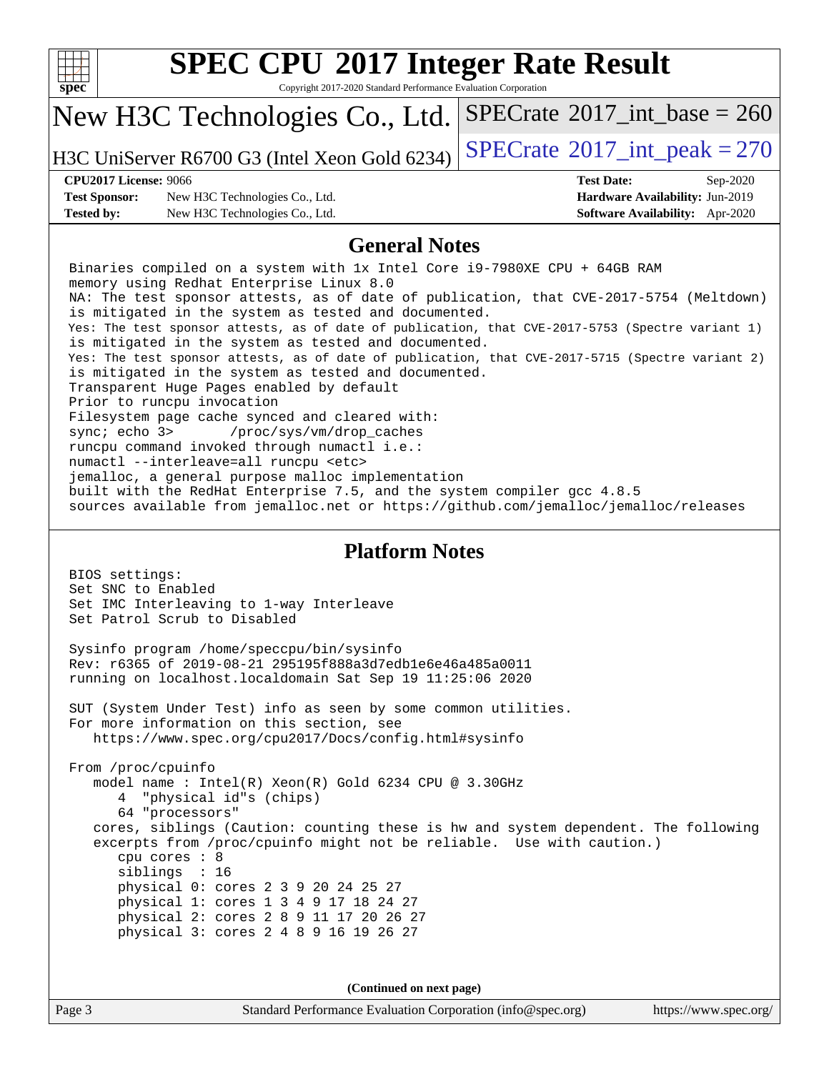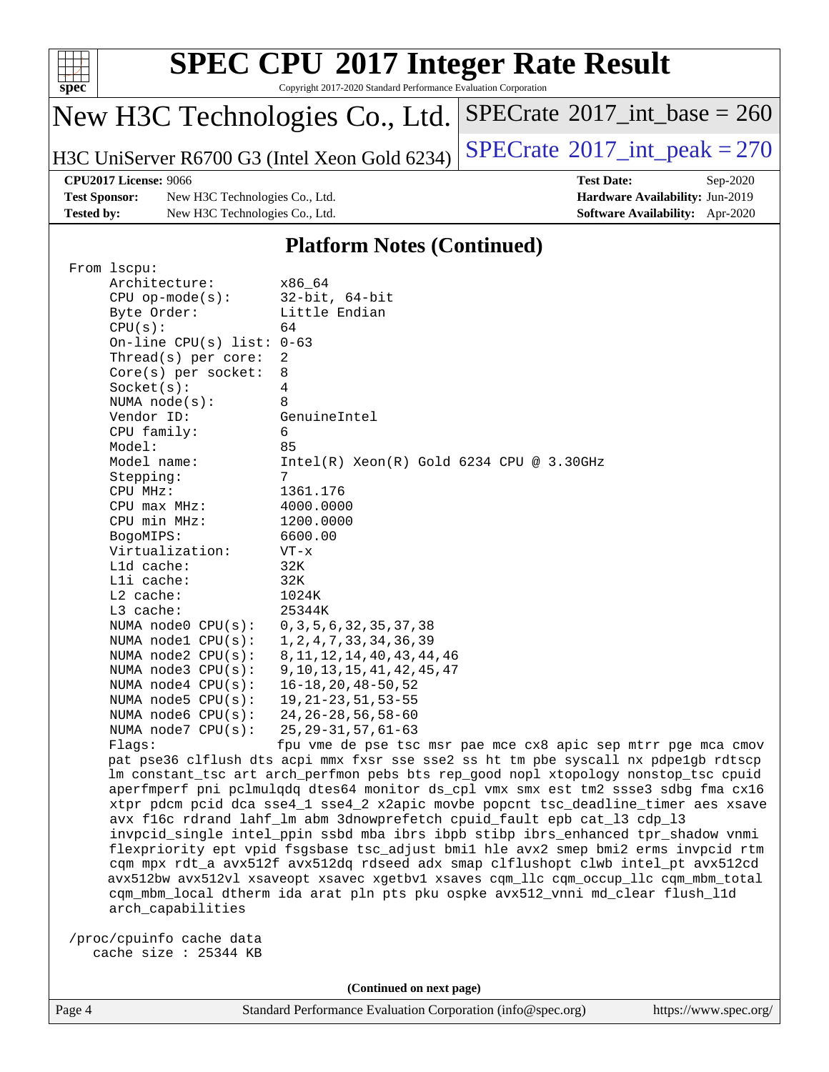

Copyright 2017-2020 Standard Performance Evaluation Corporation

# New H3C Technologies Co., Ltd.

H3C UniServer R6700 G3 (Intel Xeon Gold 6234)  $\left|$  [SPECrate](http://www.spec.org/auto/cpu2017/Docs/result-fields.html#SPECrate2017intpeak)<sup>®</sup>[2017\\_int\\_peak = 2](http://www.spec.org/auto/cpu2017/Docs/result-fields.html#SPECrate2017intpeak)70

 $SPECrate$ <sup>®</sup>[2017\\_int\\_base =](http://www.spec.org/auto/cpu2017/Docs/result-fields.html#SPECrate2017intbase) 260

**[Test Sponsor:](http://www.spec.org/auto/cpu2017/Docs/result-fields.html#TestSponsor)** New H3C Technologies Co., Ltd. **[Hardware Availability:](http://www.spec.org/auto/cpu2017/Docs/result-fields.html#HardwareAvailability)** Jun-2019 **[Tested by:](http://www.spec.org/auto/cpu2017/Docs/result-fields.html#Testedby)** New H3C Technologies Co., Ltd. **[Software Availability:](http://www.spec.org/auto/cpu2017/Docs/result-fields.html#SoftwareAvailability)** Apr-2020

**[CPU2017 License:](http://www.spec.org/auto/cpu2017/Docs/result-fields.html#CPU2017License)** 9066 **[Test Date:](http://www.spec.org/auto/cpu2017/Docs/result-fields.html#TestDate)** Sep-2020

#### **[Platform Notes \(Continued\)](http://www.spec.org/auto/cpu2017/Docs/result-fields.html#PlatformNotes)**

| From 1scpu:                    |                                                                                      |
|--------------------------------|--------------------------------------------------------------------------------------|
| Architecture:                  | x86_64                                                                               |
| $CPU$ op-mode $(s)$ :          | $32$ -bit, $64$ -bit                                                                 |
| Byte Order:                    | Little Endian                                                                        |
| CPU(s):                        | 64                                                                                   |
| On-line CPU $(s)$ list: $0-63$ |                                                                                      |
| Thread( $s$ ) per core:        | 2                                                                                    |
| $Core(s)$ per socket:          | 8                                                                                    |
| Socket(s):                     | 4                                                                                    |
| NUMA $node(s):$                | 8                                                                                    |
| Vendor ID:                     | GenuineIntel                                                                         |
| CPU family:                    | 6                                                                                    |
| Model:                         | 85                                                                                   |
| Model name:                    | $Intel(R)$ Xeon $(R)$ Gold 6234 CPU @ 3.30GHz                                        |
| Stepping:                      | 7                                                                                    |
| CPU MHz:                       | 1361.176                                                                             |
| $CPU$ max $MHz$ :              | 4000.0000                                                                            |
| CPU min MHz:                   | 1200.0000                                                                            |
| BogoMIPS:                      | 6600.00                                                                              |
| Virtualization:                | $VT - x$                                                                             |
| $L1d$ cache:                   | 32K                                                                                  |
| Lli cache:                     | 32K                                                                                  |
| $L2$ cache:                    | 1024K                                                                                |
| $L3$ cache:                    | 25344K                                                                               |
| NUMA $node0$ $CPU(s):$         | 0, 3, 5, 6, 32, 35, 37, 38                                                           |
| NUMA nodel CPU(s):             | 1, 2, 4, 7, 33, 34, 36, 39                                                           |
| NUMA $node2$ $CPU(s)$ :        | 8, 11, 12, 14, 40, 43, 44, 46                                                        |
| NUMA $node3$ $CPU(s):$         | 9, 10, 13, 15, 41, 42, 45, 47                                                        |
| NUMA node4 CPU(s):             | $16 - 18, 20, 48 - 50, 52$                                                           |
| NUMA $node5$ $CPU(s):$         | $19, 21 - 23, 51, 53 - 55$                                                           |
| NUMA node6 $CPU(s):$           | $24, 26 - 28, 56, 58 - 60$                                                           |
| NUMA node7 CPU(s):             | $25, 29 - 31, 57, 61 - 63$                                                           |
| Flaqs:                         | fpu vme de pse tsc msr pae mce cx8 apic sep mtrr pge mca cmov                        |
|                                | pat pse36 clflush dts acpi mmx fxsr sse sse2 ss ht tm pbe syscall nx pdpelgb rdtscp  |
|                                | lm constant_tsc art arch_perfmon pebs bts rep_good nopl xtopology nonstop_tsc cpuid  |
|                                | aperfmperf pni pclmulqdq dtes64 monitor ds_cpl vmx smx est tm2 ssse3 sdbg fma cx16   |
|                                | xtpr pdcm pcid dca sse4_1 sse4_2 x2apic movbe popcnt tsc_deadline_timer aes xsave    |
|                                | avx f16c rdrand lahf_lm abm 3dnowprefetch cpuid_fault epb cat_13 cdp_13              |
|                                | invpcid_single intel_ppin ssbd mba ibrs ibpb stibp ibrs_enhanced tpr_shadow vnmi     |
|                                | flexpriority ept vpid fsgsbase tsc_adjust bmil hle avx2 smep bmi2 erms invpcid rtm   |
|                                | cqm mpx rdt_a avx512f avx512dq rdseed adx smap clflushopt clwb intel_pt avx512cd     |
|                                | avx512bw avx512vl xsaveopt xsavec xgetbvl xsaves cqm_llc cqm_occup_llc cqm_mbm_total |
|                                | cqm_mbm_local dtherm ida arat pln pts pku ospke avx512_vnni md_clear flush_l1d       |
| arch capabilities              |                                                                                      |
| /proc/cpuinfo cache data       |                                                                                      |
| cache size : 25344 KB          |                                                                                      |
|                                |                                                                                      |

**(Continued on next page)**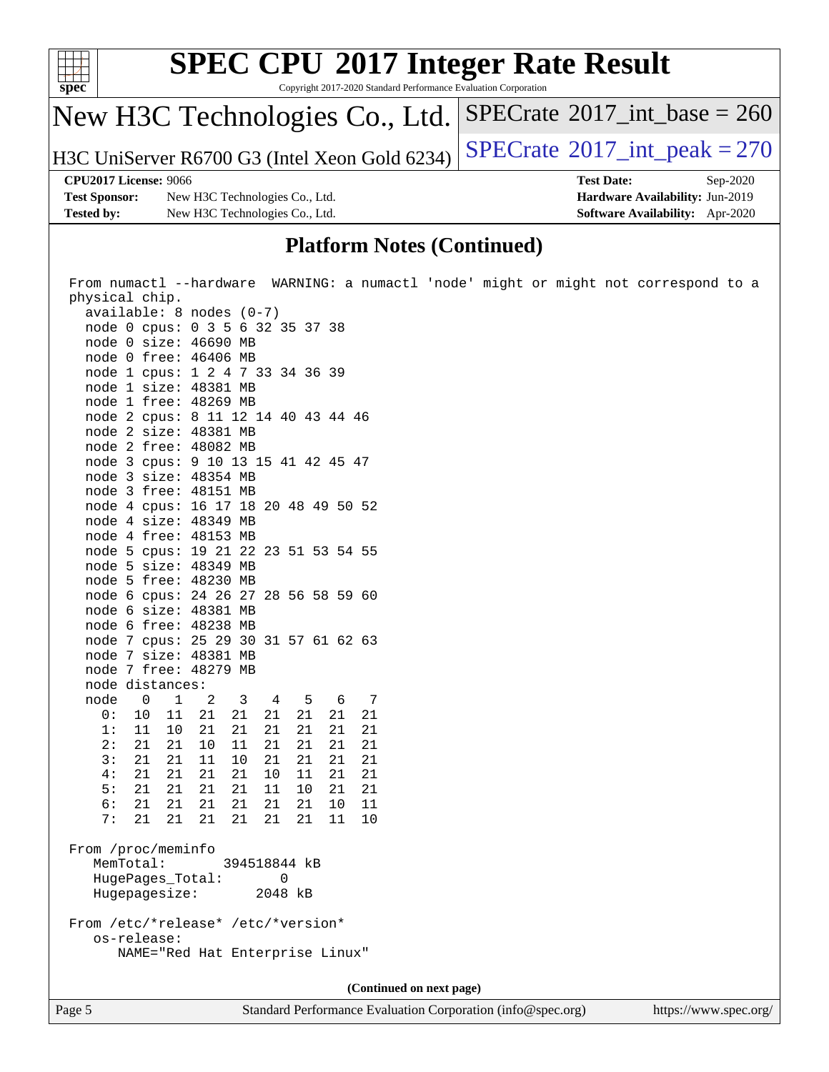

#### **[Platform Notes \(Continued\)](http://www.spec.org/auto/cpu2017/Docs/result-fields.html#PlatformNotes)**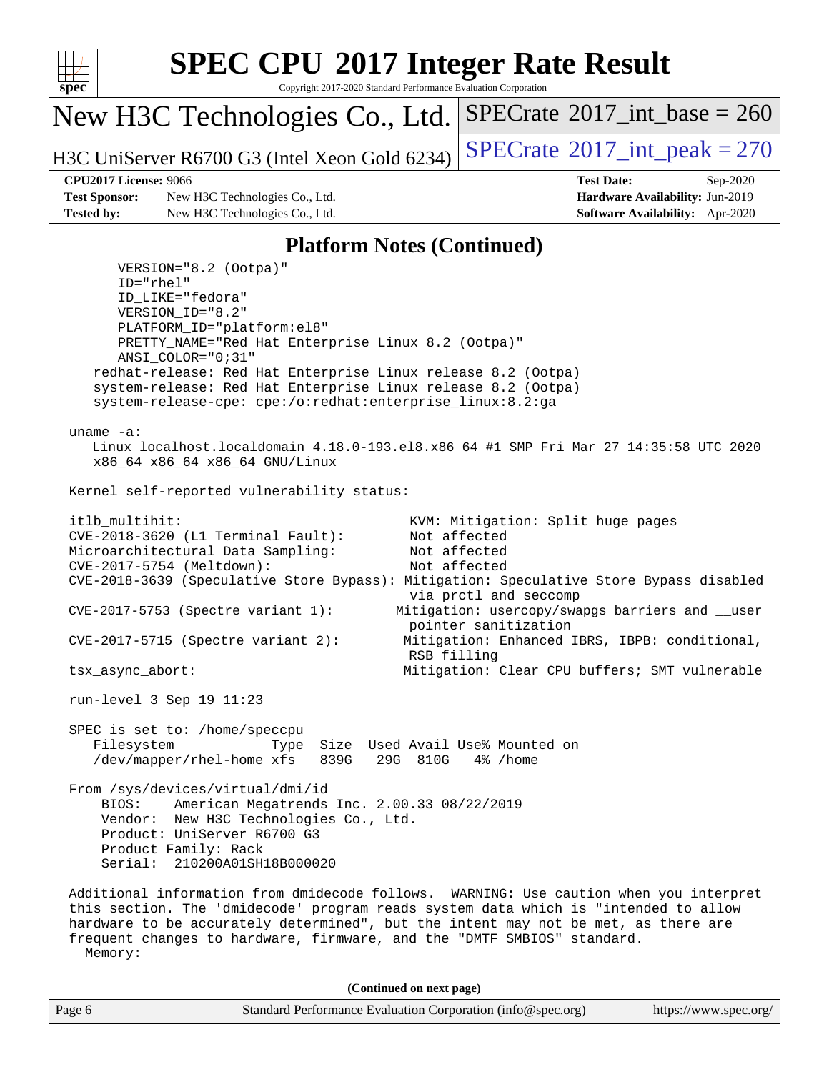

Copyright 2017-2020 Standard Performance Evaluation Corporation

New H3C Technologies Co., Ltd.

H3C UniServer R6700 G3 (Intel Xeon Gold 6234) [SPECrate](http://www.spec.org/auto/cpu2017/Docs/result-fields.html#SPECrate2017intpeak)<sup>®</sup>[2017\\_int\\_peak = 2](http://www.spec.org/auto/cpu2017/Docs/result-fields.html#SPECrate2017intpeak)70

 $SPECTate$ <sup>®</sup>[2017\\_int\\_base =](http://www.spec.org/auto/cpu2017/Docs/result-fields.html#SPECrate2017intbase) 260

**[Test Sponsor:](http://www.spec.org/auto/cpu2017/Docs/result-fields.html#TestSponsor)** New H3C Technologies Co., Ltd. **[Hardware Availability:](http://www.spec.org/auto/cpu2017/Docs/result-fields.html#HardwareAvailability)** Jun-2019 **[Tested by:](http://www.spec.org/auto/cpu2017/Docs/result-fields.html#Testedby)** New H3C Technologies Co., Ltd. **[Software Availability:](http://www.spec.org/auto/cpu2017/Docs/result-fields.html#SoftwareAvailability)** Apr-2020

**[CPU2017 License:](http://www.spec.org/auto/cpu2017/Docs/result-fields.html#CPU2017License)** 9066 **[Test Date:](http://www.spec.org/auto/cpu2017/Docs/result-fields.html#TestDate)** Sep-2020

#### **[Platform Notes \(Continued\)](http://www.spec.org/auto/cpu2017/Docs/result-fields.html#PlatformNotes)**

Page 6 Standard Performance Evaluation Corporation [\(info@spec.org\)](mailto:info@spec.org) <https://www.spec.org/> VERSION="8.2 (Ootpa)" ID="rhel" ID\_LIKE="fedora" VERSION\_ID="8.2" PLATFORM\_ID="platform:el8" PRETTY\_NAME="Red Hat Enterprise Linux 8.2 (Ootpa)" ANSI\_COLOR="0;31" redhat-release: Red Hat Enterprise Linux release 8.2 (Ootpa) system-release: Red Hat Enterprise Linux release 8.2 (Ootpa) system-release-cpe: cpe:/o:redhat:enterprise\_linux:8.2:ga uname -a: Linux localhost.localdomain 4.18.0-193.el8.x86\_64 #1 SMP Fri Mar 27 14:35:58 UTC 2020 x86\_64 x86\_64 x86\_64 GNU/Linux Kernel self-reported vulnerability status: itlb\_multihit: KVM: Mitigation: Split huge pages CVE-2018-3620 (L1 Terminal Fault): Not affected Microarchitectural Data Sampling: Not affected CVE-2017-5754 (Meltdown): Not affected CVE-2018-3639 (Speculative Store Bypass): Mitigation: Speculative Store Bypass disabled via prctl and seccomp CVE-2017-5753 (Spectre variant 1): Mitigation: usercopy/swapgs barriers and \_\_user pointer sanitization CVE-2017-5715 (Spectre variant 2): Mitigation: Enhanced IBRS, IBPB: conditional, RSB filling tsx\_async\_abort: Mitigation: Clear CPU buffers; SMT vulnerable run-level 3 Sep 19 11:23 SPEC is set to: /home/speccpu Filesystem Type Size Used Avail Use% Mounted on /dev/mapper/rhel-home xfs 839G 29G 810G 4% /home From /sys/devices/virtual/dmi/id BIOS: American Megatrends Inc. 2.00.33 08/22/2019 Vendor: New H3C Technologies Co., Ltd. Product: UniServer R6700 G3 Product Family: Rack Serial: 210200A01SH18B000020 Additional information from dmidecode follows. WARNING: Use caution when you interpret this section. The 'dmidecode' program reads system data which is "intended to allow hardware to be accurately determined", but the intent may not be met, as there are frequent changes to hardware, firmware, and the "DMTF SMBIOS" standard. Memory: **(Continued on next page)**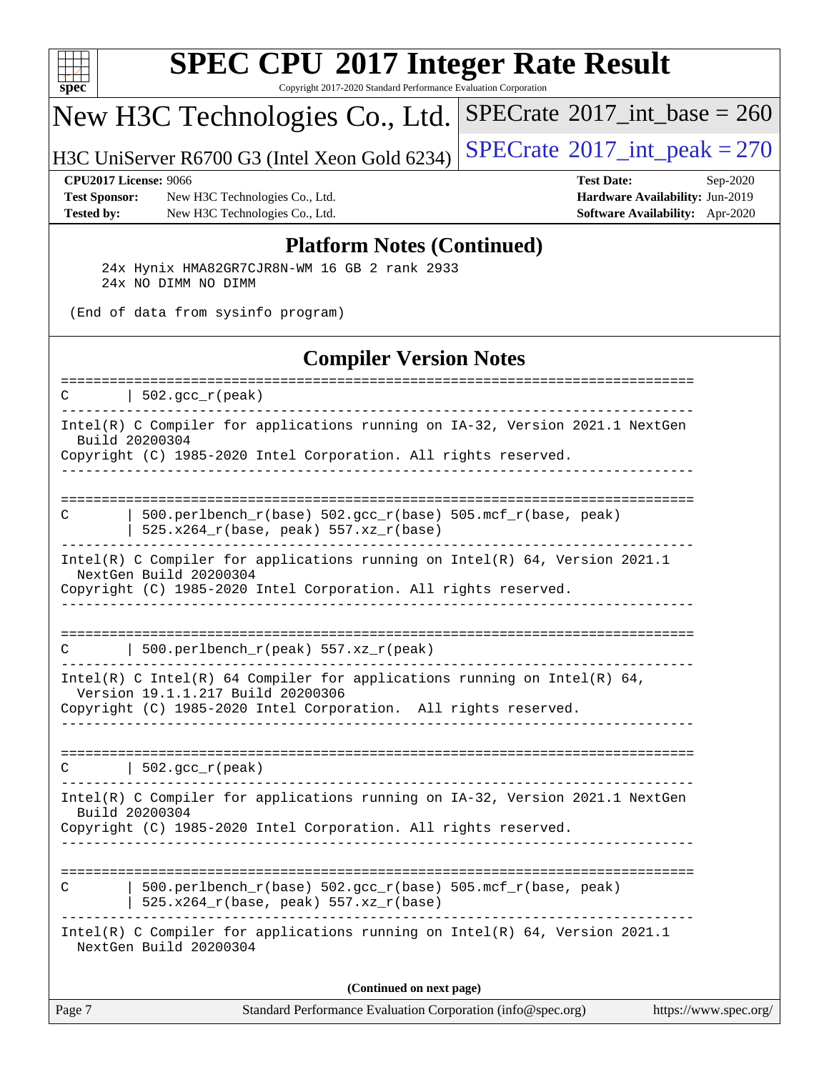

Copyright 2017-2020 Standard Performance Evaluation Corporation

## New H3C Technologies Co., Ltd.

H3C UniServer R6700 G3 (Intel Xeon Gold 6234) [SPECrate](http://www.spec.org/auto/cpu2017/Docs/result-fields.html#SPECrate2017intpeak)<sup>®</sup>[2017\\_int\\_peak = 2](http://www.spec.org/auto/cpu2017/Docs/result-fields.html#SPECrate2017intpeak)70

 $SPECrate$ <sup>®</sup>[2017\\_int\\_base =](http://www.spec.org/auto/cpu2017/Docs/result-fields.html#SPECrate2017intbase) 260

**[Test Sponsor:](http://www.spec.org/auto/cpu2017/Docs/result-fields.html#TestSponsor)** New H3C Technologies Co., Ltd. **[Hardware Availability:](http://www.spec.org/auto/cpu2017/Docs/result-fields.html#HardwareAvailability)** Jun-2019 **[Tested by:](http://www.spec.org/auto/cpu2017/Docs/result-fields.html#Testedby)** New H3C Technologies Co., Ltd. **[Software Availability:](http://www.spec.org/auto/cpu2017/Docs/result-fields.html#SoftwareAvailability)** Apr-2020

**[CPU2017 License:](http://www.spec.org/auto/cpu2017/Docs/result-fields.html#CPU2017License)** 9066 **[Test Date:](http://www.spec.org/auto/cpu2017/Docs/result-fields.html#TestDate)** Sep-2020

#### **[Platform Notes \(Continued\)](http://www.spec.org/auto/cpu2017/Docs/result-fields.html#PlatformNotes)**

 24x Hynix HMA82GR7CJR8N-WM 16 GB 2 rank 2933 24x NO DIMM NO DIMM

(End of data from sysinfo program)

#### **[Compiler Version Notes](http://www.spec.org/auto/cpu2017/Docs/result-fields.html#CompilerVersionNotes)**

| Build 20200304<br>C<br>NextGen Build 20200304<br>C<br>$\vert$ 502.gcc_r(peak)<br>$\mathsf{C}$<br>Build 20200304<br>C<br>NextGen Build 20200304 | Standard Performance Evaluation Corporation (info@spec.org)                                                                                                                                    | https://www.spec.org/ |
|------------------------------------------------------------------------------------------------------------------------------------------------|------------------------------------------------------------------------------------------------------------------------------------------------------------------------------------------------|-----------------------|
|                                                                                                                                                | (Continued on next page)                                                                                                                                                                       |                       |
|                                                                                                                                                | Intel(R) C Compiler for applications running on Intel(R) $64$ , Version 2021.1                                                                                                                 |                       |
|                                                                                                                                                | --------------------------------------<br>----------------------------<br>500.perlbench_r(base) 502.gcc_r(base) 505.mcf_r(base, peak)<br>525.x264_r(base, peak) 557.xz_r(base)                 |                       |
|                                                                                                                                                | Intel(R) C Compiler for applications running on IA-32, Version 2021.1 NextGen<br>Copyright (C) 1985-2020 Intel Corporation. All rights reserved.                                               |                       |
|                                                                                                                                                |                                                                                                                                                                                                |                       |
|                                                                                                                                                | Intel(R) C Intel(R) 64 Compiler for applications running on Intel(R) 64,<br>Version 19.1.1.217 Build 20200306<br>Copyright (C) 1985-2020 Intel Corporation. All rights reserved.<br>__________ |                       |
|                                                                                                                                                | 500.perlbench_r(peak) 557.xz_r(peak)                                                                                                                                                           |                       |
|                                                                                                                                                | Intel(R) C Compiler for applications running on $Intel(R) 64$ , Version 2021.1<br>Copyright (C) 1985-2020 Intel Corporation. All rights reserved.                                              |                       |
|                                                                                                                                                | 500.perlbench_r(base) 502.gcc_r(base) 505.mcf_r(base, peak)<br>525.x264_r(base, peak) 557.xz_r(base)                                                                                           |                       |
|                                                                                                                                                | Intel(R) C Compiler for applications running on IA-32, Version 2021.1 NextGen<br>Copyright (C) 1985-2020 Intel Corporation. All rights reserved.                                               |                       |
| C                                                                                                                                              | ----------------------------------<br>$\vert$ 502.gcc_r(peak)                                                                                                                                  |                       |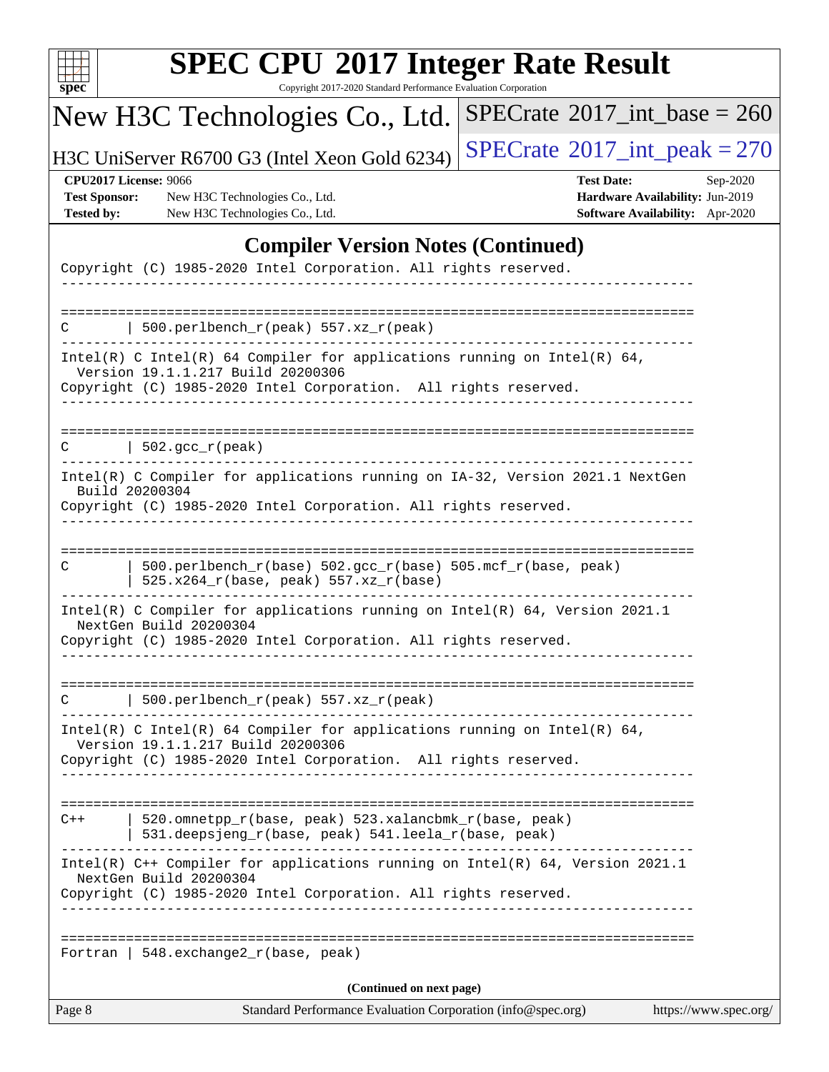| u<br>r |  |  |  |  |  |
|--------|--|--|--|--|--|

Copyright 2017-2020 Standard Performance Evaluation Corporation

# New H3C Technologies Co., Ltd.

H3C UniServer R6700 G3 (Intel Xeon Gold 6234) [SPECrate](http://www.spec.org/auto/cpu2017/Docs/result-fields.html#SPECrate2017intpeak)<sup>®</sup>[2017\\_int\\_peak = 2](http://www.spec.org/auto/cpu2017/Docs/result-fields.html#SPECrate2017intpeak)70

 $SPECrate$ <sup>®</sup>[2017\\_int\\_base =](http://www.spec.org/auto/cpu2017/Docs/result-fields.html#SPECrate2017intbase) 260

**[Test Sponsor:](http://www.spec.org/auto/cpu2017/Docs/result-fields.html#TestSponsor)** New H3C Technologies Co., Ltd. **[Hardware Availability:](http://www.spec.org/auto/cpu2017/Docs/result-fields.html#HardwareAvailability)** Jun-2019 **[Tested by:](http://www.spec.org/auto/cpu2017/Docs/result-fields.html#Testedby)** New H3C Technologies Co., Ltd. **[Software Availability:](http://www.spec.org/auto/cpu2017/Docs/result-fields.html#SoftwareAvailability)** Apr-2020

**[CPU2017 License:](http://www.spec.org/auto/cpu2017/Docs/result-fields.html#CPU2017License)** 9066 **[Test Date:](http://www.spec.org/auto/cpu2017/Docs/result-fields.html#TestDate)** Sep-2020

### **[Compiler Version Notes \(Continued\)](http://www.spec.org/auto/cpu2017/Docs/result-fields.html#CompilerVersionNotes)**

| Page 8         | Standard Performance Evaluation Corporation (info@spec.org)                                                                                                                      | https://www.spec.org/ |
|----------------|----------------------------------------------------------------------------------------------------------------------------------------------------------------------------------|-----------------------|
|                | (Continued on next page)                                                                                                                                                         |                       |
|                | Fortran   548.exchange2 $r(base, peak)$                                                                                                                                          |                       |
|                | Intel(R) $C++$ Compiler for applications running on Intel(R) 64, Version 2021.1<br>NextGen Build 20200304<br>Copyright (C) 1985-2020 Intel Corporation. All rights reserved.     |                       |
| $C++$          | 520.omnetpp_r(base, peak) 523.xalancbmk_r(base, peak)<br>531.deepsjeng_r(base, peak) 541.leela_r(base, peak)                                                                     |                       |
|                | Intel(R) C Intel(R) 64 Compiler for applications running on Intel(R) 64,<br>Version 19.1.1.217 Build 20200306<br>Copyright (C) 1985-2020 Intel Corporation. All rights reserved. |                       |
|                | 500.perlbench_r(peak) $557. xz_r$ (peak)                                                                                                                                         |                       |
|                | Intel(R) C Compiler for applications running on Intel(R) 64, Version 2021.1<br>NextGen Build 20200304<br>Copyright (C) 1985-2020 Intel Corporation. All rights reserved.         |                       |
| C              | 500.perlbench_r(base) 502.gcc_r(base) 505.mcf_r(base, peak)<br>$525.x264_r(base, peak) 557.xz_r(base)$                                                                           |                       |
| Build 20200304 | Intel(R) C Compiler for applications running on IA-32, Version 2021.1 NextGen<br>Copyright (C) 1985-2020 Intel Corporation. All rights reserved.                                 |                       |
| C              | $  502.\text{gcc_r(peak)} $                                                                                                                                                      |                       |
|                | Copyright (C) 1985-2020 Intel Corporation. All rights reserved.                                                                                                                  |                       |
|                | Intel(R) C Intel(R) 64 Compiler for applications running on Intel(R) 64,<br>Version 19.1.1.217 Build 20200306                                                                    |                       |
|                | 500.perlbench_r(peak) 557.xz_r(peak)                                                                                                                                             |                       |
|                | Copyright (C) 1985-2020 Intel Corporation. All rights reserved.                                                                                                                  |                       |
|                |                                                                                                                                                                                  |                       |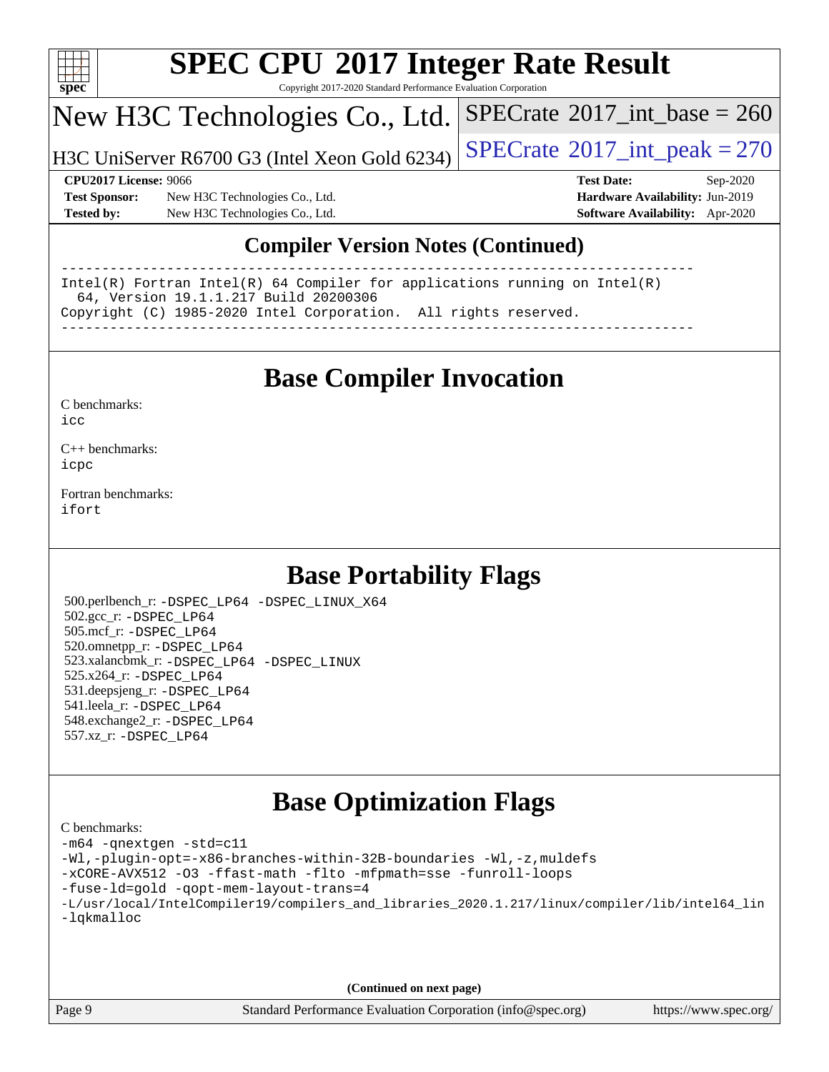

Copyright 2017-2020 Standard Performance Evaluation Corporation

# New H3C Technologies Co., Ltd.

H3C UniServer R6700 G3 (Intel Xeon Gold 6234)  $\left|$  [SPECrate](http://www.spec.org/auto/cpu2017/Docs/result-fields.html#SPECrate2017intpeak)®[2017\\_int\\_peak = 2](http://www.spec.org/auto/cpu2017/Docs/result-fields.html#SPECrate2017intpeak)70

 $SPECTate$ <sup>®</sup>[2017\\_int\\_base =](http://www.spec.org/auto/cpu2017/Docs/result-fields.html#SPECrate2017intbase) 260

**[Test Sponsor:](http://www.spec.org/auto/cpu2017/Docs/result-fields.html#TestSponsor)** New H3C Technologies Co., Ltd. **[Hardware Availability:](http://www.spec.org/auto/cpu2017/Docs/result-fields.html#HardwareAvailability)** Jun-2019 **[Tested by:](http://www.spec.org/auto/cpu2017/Docs/result-fields.html#Testedby)** New H3C Technologies Co., Ltd. **[Software Availability:](http://www.spec.org/auto/cpu2017/Docs/result-fields.html#SoftwareAvailability)** Apr-2020

**[CPU2017 License:](http://www.spec.org/auto/cpu2017/Docs/result-fields.html#CPU2017License)** 9066 **[Test Date:](http://www.spec.org/auto/cpu2017/Docs/result-fields.html#TestDate)** Sep-2020

### **[Compiler Version Notes \(Continued\)](http://www.spec.org/auto/cpu2017/Docs/result-fields.html#CompilerVersionNotes)**

------------------------------------------------------------------------------ Intel(R) Fortran Intel(R) 64 Compiler for applications running on Intel(R) 64, Version 19.1.1.217 Build 20200306 Copyright (C) 1985-2020 Intel Corporation. All rights reserved. ------------------------------------------------------------------------------

## **[Base Compiler Invocation](http://www.spec.org/auto/cpu2017/Docs/result-fields.html#BaseCompilerInvocation)**

[C benchmarks](http://www.spec.org/auto/cpu2017/Docs/result-fields.html#Cbenchmarks):  $i$ cc

[C++ benchmarks:](http://www.spec.org/auto/cpu2017/Docs/result-fields.html#CXXbenchmarks) [icpc](http://www.spec.org/cpu2017/results/res2020q4/cpu2017-20200927-24022.flags.html#user_CXXbase_intel_icpc_c510b6838c7f56d33e37e94d029a35b4a7bccf4766a728ee175e80a419847e808290a9b78be685c44ab727ea267ec2f070ec5dc83b407c0218cded6866a35d07)

[Fortran benchmarks](http://www.spec.org/auto/cpu2017/Docs/result-fields.html#Fortranbenchmarks): [ifort](http://www.spec.org/cpu2017/results/res2020q4/cpu2017-20200927-24022.flags.html#user_FCbase_intel_ifort_8111460550e3ca792625aed983ce982f94888b8b503583aa7ba2b8303487b4d8a21a13e7191a45c5fd58ff318f48f9492884d4413fa793fd88dd292cad7027ca)

## **[Base Portability Flags](http://www.spec.org/auto/cpu2017/Docs/result-fields.html#BasePortabilityFlags)**

 500.perlbench\_r: [-DSPEC\\_LP64](http://www.spec.org/cpu2017/results/res2020q4/cpu2017-20200927-24022.flags.html#b500.perlbench_r_basePORTABILITY_DSPEC_LP64) [-DSPEC\\_LINUX\\_X64](http://www.spec.org/cpu2017/results/res2020q4/cpu2017-20200927-24022.flags.html#b500.perlbench_r_baseCPORTABILITY_DSPEC_LINUX_X64) 502.gcc\_r: [-DSPEC\\_LP64](http://www.spec.org/cpu2017/results/res2020q4/cpu2017-20200927-24022.flags.html#suite_basePORTABILITY502_gcc_r_DSPEC_LP64) 505.mcf\_r: [-DSPEC\\_LP64](http://www.spec.org/cpu2017/results/res2020q4/cpu2017-20200927-24022.flags.html#suite_basePORTABILITY505_mcf_r_DSPEC_LP64) 520.omnetpp\_r: [-DSPEC\\_LP64](http://www.spec.org/cpu2017/results/res2020q4/cpu2017-20200927-24022.flags.html#suite_basePORTABILITY520_omnetpp_r_DSPEC_LP64) 523.xalancbmk\_r: [-DSPEC\\_LP64](http://www.spec.org/cpu2017/results/res2020q4/cpu2017-20200927-24022.flags.html#suite_basePORTABILITY523_xalancbmk_r_DSPEC_LP64) [-DSPEC\\_LINUX](http://www.spec.org/cpu2017/results/res2020q4/cpu2017-20200927-24022.flags.html#b523.xalancbmk_r_baseCXXPORTABILITY_DSPEC_LINUX) 525.x264\_r: [-DSPEC\\_LP64](http://www.spec.org/cpu2017/results/res2020q4/cpu2017-20200927-24022.flags.html#suite_basePORTABILITY525_x264_r_DSPEC_LP64) 531.deepsjeng\_r: [-DSPEC\\_LP64](http://www.spec.org/cpu2017/results/res2020q4/cpu2017-20200927-24022.flags.html#suite_basePORTABILITY531_deepsjeng_r_DSPEC_LP64) 541.leela\_r: [-DSPEC\\_LP64](http://www.spec.org/cpu2017/results/res2020q4/cpu2017-20200927-24022.flags.html#suite_basePORTABILITY541_leela_r_DSPEC_LP64) 548.exchange2\_r: [-DSPEC\\_LP64](http://www.spec.org/cpu2017/results/res2020q4/cpu2017-20200927-24022.flags.html#suite_basePORTABILITY548_exchange2_r_DSPEC_LP64) 557.xz\_r: [-DSPEC\\_LP64](http://www.spec.org/cpu2017/results/res2020q4/cpu2017-20200927-24022.flags.html#suite_basePORTABILITY557_xz_r_DSPEC_LP64)

## **[Base Optimization Flags](http://www.spec.org/auto/cpu2017/Docs/result-fields.html#BaseOptimizationFlags)**

| C benchmarks:                                                                                  |
|------------------------------------------------------------------------------------------------|
| -m64 -qnextgen -std=c11                                                                        |
| -Wl,-plugin-opt=-x86-branches-within-32B-boundaries -Wl,-z, muldefs                            |
| -xCORE-AVX512 -03 -ffast-math -flto -mfpmath=sse -funroll-loops                                |
| -fuse-1d=gold -gopt-mem-layout-trans=4                                                         |
| -L/usr/local/IntelCompiler19/compilers and libraries 2020.1.217/linux/compiler/lib/intel64 lin |
| -lqkmalloc                                                                                     |
|                                                                                                |
|                                                                                                |
|                                                                                                |

**(Continued on next page)**

Page 9 Standard Performance Evaluation Corporation [\(info@spec.org\)](mailto:info@spec.org) <https://www.spec.org/>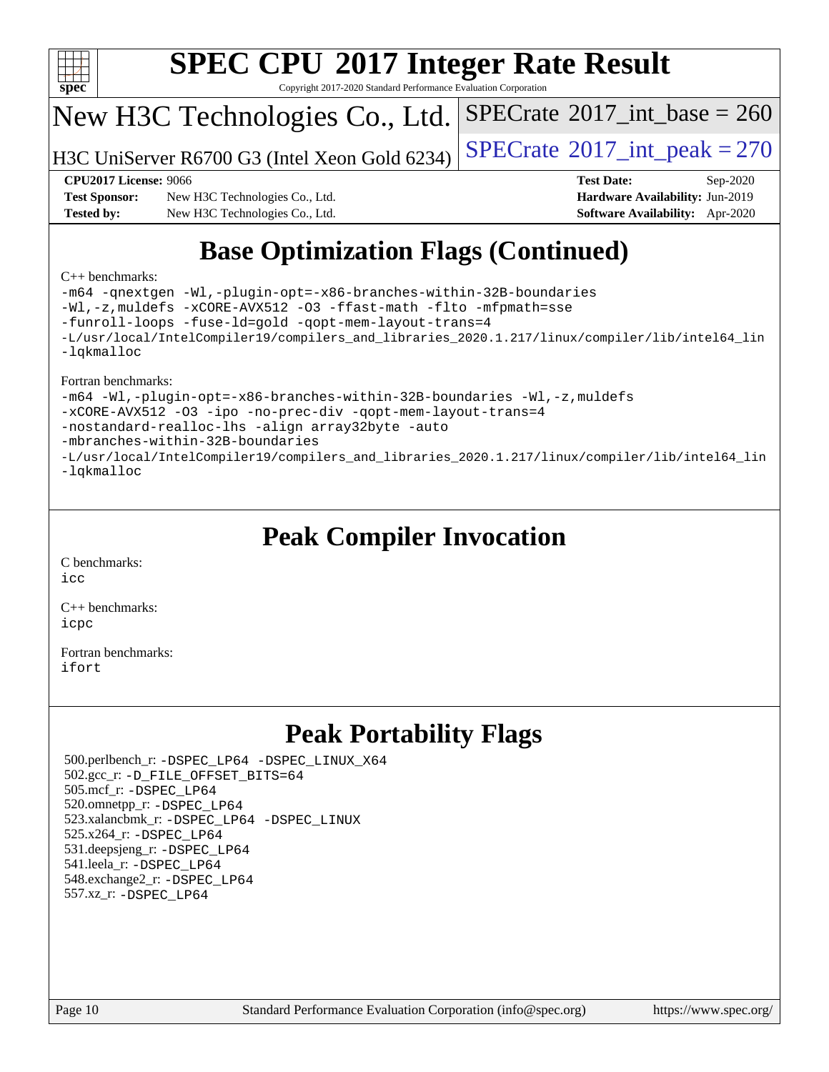

Copyright 2017-2020 Standard Performance Evaluation Corporation

## New H3C Technologies Co., Ltd.

H3C UniServer R6700 G3 (Intel Xeon Gold 6234)  $\vert$  [SPECrate](http://www.spec.org/auto/cpu2017/Docs/result-fields.html#SPECrate2017intpeak)®[2017\\_int\\_peak = 2](http://www.spec.org/auto/cpu2017/Docs/result-fields.html#SPECrate2017intpeak)70

 $SPECTate$ <sup>®</sup>[2017\\_int\\_base =](http://www.spec.org/auto/cpu2017/Docs/result-fields.html#SPECrate2017intbase) 260

**[Test Sponsor:](http://www.spec.org/auto/cpu2017/Docs/result-fields.html#TestSponsor)** New H3C Technologies Co., Ltd. **[Hardware Availability:](http://www.spec.org/auto/cpu2017/Docs/result-fields.html#HardwareAvailability)** Jun-2019 **[Tested by:](http://www.spec.org/auto/cpu2017/Docs/result-fields.html#Testedby)** New H3C Technologies Co., Ltd. **[Software Availability:](http://www.spec.org/auto/cpu2017/Docs/result-fields.html#SoftwareAvailability)** Apr-2020

**[CPU2017 License:](http://www.spec.org/auto/cpu2017/Docs/result-fields.html#CPU2017License)** 9066 **[Test Date:](http://www.spec.org/auto/cpu2017/Docs/result-fields.html#TestDate)** Sep-2020

# **[Base Optimization Flags \(Continued\)](http://www.spec.org/auto/cpu2017/Docs/result-fields.html#BaseOptimizationFlags)**

#### [C++ benchmarks:](http://www.spec.org/auto/cpu2017/Docs/result-fields.html#CXXbenchmarks)

[-m64](http://www.spec.org/cpu2017/results/res2020q4/cpu2017-20200927-24022.flags.html#user_CXXbase_m64-icc) [-qnextgen](http://www.spec.org/cpu2017/results/res2020q4/cpu2017-20200927-24022.flags.html#user_CXXbase_f-qnextgen) [-Wl,-plugin-opt=-x86-branches-within-32B-boundaries](http://www.spec.org/cpu2017/results/res2020q4/cpu2017-20200927-24022.flags.html#user_CXXbase_f-x86-branches-within-32B-boundaries_0098b4e4317ae60947b7b728078a624952a08ac37a3c797dfb4ffeb399e0c61a9dd0f2f44ce917e9361fb9076ccb15e7824594512dd315205382d84209e912f3) [-Wl,-z,muldefs](http://www.spec.org/cpu2017/results/res2020q4/cpu2017-20200927-24022.flags.html#user_CXXbase_link_force_multiple1_b4cbdb97b34bdee9ceefcfe54f4c8ea74255f0b02a4b23e853cdb0e18eb4525ac79b5a88067c842dd0ee6996c24547a27a4b99331201badda8798ef8a743f577) [-xCORE-AVX512](http://www.spec.org/cpu2017/results/res2020q4/cpu2017-20200927-24022.flags.html#user_CXXbase_f-xCORE-AVX512) [-O3](http://www.spec.org/cpu2017/results/res2020q4/cpu2017-20200927-24022.flags.html#user_CXXbase_f-O3) [-ffast-math](http://www.spec.org/cpu2017/results/res2020q4/cpu2017-20200927-24022.flags.html#user_CXXbase_f-ffast-math) [-flto](http://www.spec.org/cpu2017/results/res2020q4/cpu2017-20200927-24022.flags.html#user_CXXbase_f-flto) [-mfpmath=sse](http://www.spec.org/cpu2017/results/res2020q4/cpu2017-20200927-24022.flags.html#user_CXXbase_f-mfpmath_70eb8fac26bde974f8ab713bc9086c5621c0b8d2f6c86f38af0bd7062540daf19db5f3a066d8c6684be05d84c9b6322eb3b5be6619d967835195b93d6c02afa1) [-funroll-loops](http://www.spec.org/cpu2017/results/res2020q4/cpu2017-20200927-24022.flags.html#user_CXXbase_f-funroll-loops) [-fuse-ld=gold](http://www.spec.org/cpu2017/results/res2020q4/cpu2017-20200927-24022.flags.html#user_CXXbase_f-fuse-ld_920b3586e2b8c6e0748b9c84fa9b744736ba725a32cab14ad8f3d4ad28eecb2f59d1144823d2e17006539a88734fe1fc08fc3035f7676166309105a78aaabc32) [-qopt-mem-layout-trans=4](http://www.spec.org/cpu2017/results/res2020q4/cpu2017-20200927-24022.flags.html#user_CXXbase_f-qopt-mem-layout-trans_fa39e755916c150a61361b7846f310bcdf6f04e385ef281cadf3647acec3f0ae266d1a1d22d972a7087a248fd4e6ca390a3634700869573d231a252c784941a8) [-L/usr/local/IntelCompiler19/compilers\\_and\\_libraries\\_2020.1.217/linux/compiler/lib/intel64\\_lin](http://www.spec.org/cpu2017/results/res2020q4/cpu2017-20200927-24022.flags.html#user_CXXbase_linkpath_2cb6f503891ebf8baee7515f4e7d4ec1217444d1d05903cc0091ac4158de400651d2b2313a9fa414cb8a8f0e16ab029634f5c6db340f400369c190d4db8a54a0) [-lqkmalloc](http://www.spec.org/cpu2017/results/res2020q4/cpu2017-20200927-24022.flags.html#user_CXXbase_qkmalloc_link_lib_79a818439969f771c6bc311cfd333c00fc099dad35c030f5aab9dda831713d2015205805422f83de8875488a2991c0a156aaa600e1f9138f8fc37004abc96dc5)

#### [Fortran benchmarks:](http://www.spec.org/auto/cpu2017/Docs/result-fields.html#Fortranbenchmarks)

[-m64](http://www.spec.org/cpu2017/results/res2020q4/cpu2017-20200927-24022.flags.html#user_FCbase_m64-icc) [-Wl,-plugin-opt=-x86-branches-within-32B-boundaries](http://www.spec.org/cpu2017/results/res2020q4/cpu2017-20200927-24022.flags.html#user_FCbase_f-x86-branches-within-32B-boundaries_0098b4e4317ae60947b7b728078a624952a08ac37a3c797dfb4ffeb399e0c61a9dd0f2f44ce917e9361fb9076ccb15e7824594512dd315205382d84209e912f3) [-Wl,-z,muldefs](http://www.spec.org/cpu2017/results/res2020q4/cpu2017-20200927-24022.flags.html#user_FCbase_link_force_multiple1_b4cbdb97b34bdee9ceefcfe54f4c8ea74255f0b02a4b23e853cdb0e18eb4525ac79b5a88067c842dd0ee6996c24547a27a4b99331201badda8798ef8a743f577) [-xCORE-AVX512](http://www.spec.org/cpu2017/results/res2020q4/cpu2017-20200927-24022.flags.html#user_FCbase_f-xCORE-AVX512) [-O3](http://www.spec.org/cpu2017/results/res2020q4/cpu2017-20200927-24022.flags.html#user_FCbase_f-O3) [-ipo](http://www.spec.org/cpu2017/results/res2020q4/cpu2017-20200927-24022.flags.html#user_FCbase_f-ipo) [-no-prec-div](http://www.spec.org/cpu2017/results/res2020q4/cpu2017-20200927-24022.flags.html#user_FCbase_f-no-prec-div) [-qopt-mem-layout-trans=4](http://www.spec.org/cpu2017/results/res2020q4/cpu2017-20200927-24022.flags.html#user_FCbase_f-qopt-mem-layout-trans_fa39e755916c150a61361b7846f310bcdf6f04e385ef281cadf3647acec3f0ae266d1a1d22d972a7087a248fd4e6ca390a3634700869573d231a252c784941a8) [-nostandard-realloc-lhs](http://www.spec.org/cpu2017/results/res2020q4/cpu2017-20200927-24022.flags.html#user_FCbase_f_2003_std_realloc_82b4557e90729c0f113870c07e44d33d6f5a304b4f63d4c15d2d0f1fab99f5daaed73bdb9275d9ae411527f28b936061aa8b9c8f2d63842963b95c9dd6426b8a) [-align array32byte](http://www.spec.org/cpu2017/results/res2020q4/cpu2017-20200927-24022.flags.html#user_FCbase_align_array32byte_b982fe038af199962ba9a80c053b8342c548c85b40b8e86eb3cc33dee0d7986a4af373ac2d51c3f7cf710a18d62fdce2948f201cd044323541f22fc0fffc51b6) [-auto](http://www.spec.org/cpu2017/results/res2020q4/cpu2017-20200927-24022.flags.html#user_FCbase_f-auto) [-mbranches-within-32B-boundaries](http://www.spec.org/cpu2017/results/res2020q4/cpu2017-20200927-24022.flags.html#user_FCbase_f-mbranches-within-32B-boundaries) [-L/usr/local/IntelCompiler19/compilers\\_and\\_libraries\\_2020.1.217/linux/compiler/lib/intel64\\_lin](http://www.spec.org/cpu2017/results/res2020q4/cpu2017-20200927-24022.flags.html#user_FCbase_linkpath_2cb6f503891ebf8baee7515f4e7d4ec1217444d1d05903cc0091ac4158de400651d2b2313a9fa414cb8a8f0e16ab029634f5c6db340f400369c190d4db8a54a0) [-lqkmalloc](http://www.spec.org/cpu2017/results/res2020q4/cpu2017-20200927-24022.flags.html#user_FCbase_qkmalloc_link_lib_79a818439969f771c6bc311cfd333c00fc099dad35c030f5aab9dda831713d2015205805422f83de8875488a2991c0a156aaa600e1f9138f8fc37004abc96dc5)

## **[Peak Compiler Invocation](http://www.spec.org/auto/cpu2017/Docs/result-fields.html#PeakCompilerInvocation)**

[C benchmarks](http://www.spec.org/auto/cpu2017/Docs/result-fields.html#Cbenchmarks): [icc](http://www.spec.org/cpu2017/results/res2020q4/cpu2017-20200927-24022.flags.html#user_CCpeak_intel_icc_66fc1ee009f7361af1fbd72ca7dcefbb700085f36577c54f309893dd4ec40d12360134090235512931783d35fd58c0460139e722d5067c5574d8eaf2b3e37e92)

[C++ benchmarks:](http://www.spec.org/auto/cpu2017/Docs/result-fields.html#CXXbenchmarks) [icpc](http://www.spec.org/cpu2017/results/res2020q4/cpu2017-20200927-24022.flags.html#user_CXXpeak_intel_icpc_c510b6838c7f56d33e37e94d029a35b4a7bccf4766a728ee175e80a419847e808290a9b78be685c44ab727ea267ec2f070ec5dc83b407c0218cded6866a35d07)

[Fortran benchmarks](http://www.spec.org/auto/cpu2017/Docs/result-fields.html#Fortranbenchmarks): [ifort](http://www.spec.org/cpu2017/results/res2020q4/cpu2017-20200927-24022.flags.html#user_FCpeak_intel_ifort_8111460550e3ca792625aed983ce982f94888b8b503583aa7ba2b8303487b4d8a21a13e7191a45c5fd58ff318f48f9492884d4413fa793fd88dd292cad7027ca)

## **[Peak Portability Flags](http://www.spec.org/auto/cpu2017/Docs/result-fields.html#PeakPortabilityFlags)**

 500.perlbench\_r: [-DSPEC\\_LP64](http://www.spec.org/cpu2017/results/res2020q4/cpu2017-20200927-24022.flags.html#b500.perlbench_r_peakPORTABILITY_DSPEC_LP64) [-DSPEC\\_LINUX\\_X64](http://www.spec.org/cpu2017/results/res2020q4/cpu2017-20200927-24022.flags.html#b500.perlbench_r_peakCPORTABILITY_DSPEC_LINUX_X64) 502.gcc\_r: [-D\\_FILE\\_OFFSET\\_BITS=64](http://www.spec.org/cpu2017/results/res2020q4/cpu2017-20200927-24022.flags.html#user_peakPORTABILITY502_gcc_r_file_offset_bits_64_5ae949a99b284ddf4e95728d47cb0843d81b2eb0e18bdfe74bbf0f61d0b064f4bda2f10ea5eb90e1dcab0e84dbc592acfc5018bc955c18609f94ddb8d550002c) 505.mcf\_r: [-DSPEC\\_LP64](http://www.spec.org/cpu2017/results/res2020q4/cpu2017-20200927-24022.flags.html#suite_peakPORTABILITY505_mcf_r_DSPEC_LP64) 520.omnetpp\_r: [-DSPEC\\_LP64](http://www.spec.org/cpu2017/results/res2020q4/cpu2017-20200927-24022.flags.html#suite_peakPORTABILITY520_omnetpp_r_DSPEC_LP64) 523.xalancbmk\_r: [-DSPEC\\_LP64](http://www.spec.org/cpu2017/results/res2020q4/cpu2017-20200927-24022.flags.html#suite_peakPORTABILITY523_xalancbmk_r_DSPEC_LP64) [-DSPEC\\_LINUX](http://www.spec.org/cpu2017/results/res2020q4/cpu2017-20200927-24022.flags.html#b523.xalancbmk_r_peakCXXPORTABILITY_DSPEC_LINUX) 525.x264\_r: [-DSPEC\\_LP64](http://www.spec.org/cpu2017/results/res2020q4/cpu2017-20200927-24022.flags.html#suite_peakPORTABILITY525_x264_r_DSPEC_LP64) 531.deepsjeng\_r: [-DSPEC\\_LP64](http://www.spec.org/cpu2017/results/res2020q4/cpu2017-20200927-24022.flags.html#suite_peakPORTABILITY531_deepsjeng_r_DSPEC_LP64) 541.leela\_r: [-DSPEC\\_LP64](http://www.spec.org/cpu2017/results/res2020q4/cpu2017-20200927-24022.flags.html#suite_peakPORTABILITY541_leela_r_DSPEC_LP64) 548.exchange2\_r: [-DSPEC\\_LP64](http://www.spec.org/cpu2017/results/res2020q4/cpu2017-20200927-24022.flags.html#suite_peakPORTABILITY548_exchange2_r_DSPEC_LP64) 557.xz\_r: [-DSPEC\\_LP64](http://www.spec.org/cpu2017/results/res2020q4/cpu2017-20200927-24022.flags.html#suite_peakPORTABILITY557_xz_r_DSPEC_LP64)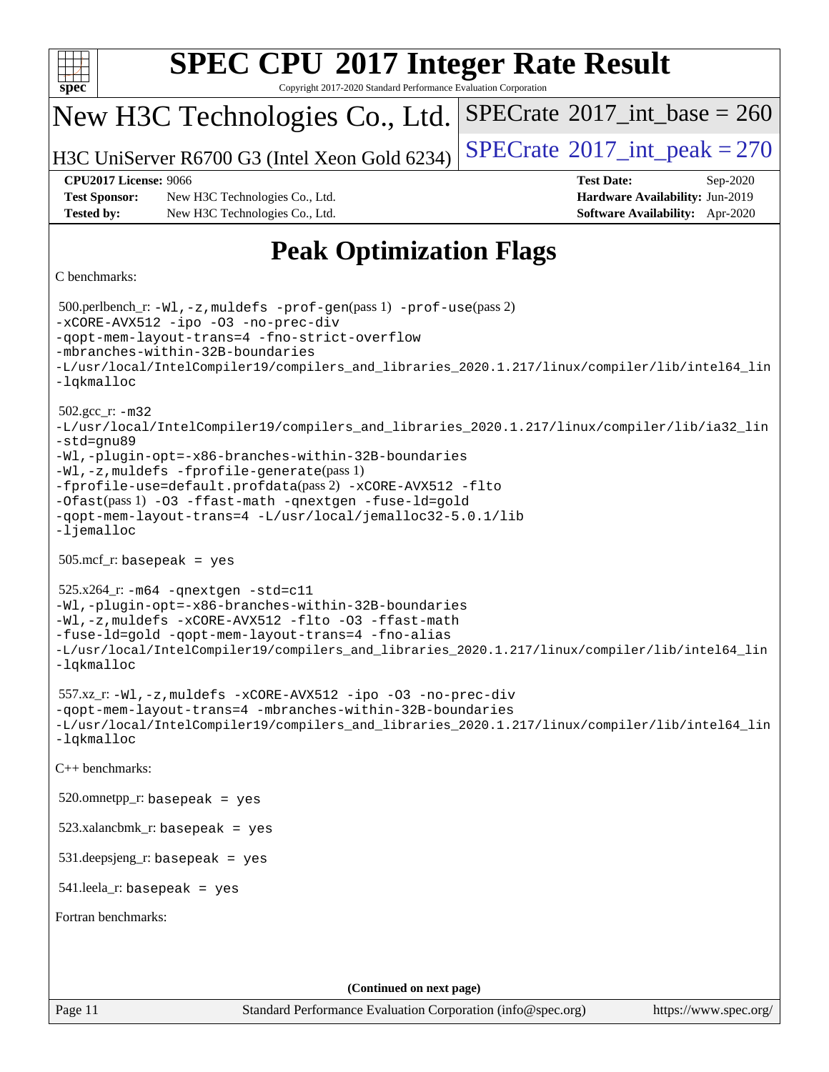| <b>SPEC CPU®2017 Integer Rate Result</b>                                                                                                                                                                                                                                                                                                                                                                                                      |                                                                                                     |  |  |  |  |
|-----------------------------------------------------------------------------------------------------------------------------------------------------------------------------------------------------------------------------------------------------------------------------------------------------------------------------------------------------------------------------------------------------------------------------------------------|-----------------------------------------------------------------------------------------------------|--|--|--|--|
| spec <sup>®</sup><br>Copyright 2017-2020 Standard Performance Evaluation Corporation                                                                                                                                                                                                                                                                                                                                                          |                                                                                                     |  |  |  |  |
| New H3C Technologies Co., Ltd.                                                                                                                                                                                                                                                                                                                                                                                                                | $SPECrate^{\circ}2017\_int\_base = 260$                                                             |  |  |  |  |
| H3C UniServer R6700 G3 (Intel Xeon Gold 6234)                                                                                                                                                                                                                                                                                                                                                                                                 | $SPECTate$ <sup>®</sup> 2017_int_peak = 270                                                         |  |  |  |  |
| <b>CPU2017 License: 9066</b><br><b>Test Sponsor:</b><br>New H3C Technologies Co., Ltd.<br><b>Tested by:</b><br>New H3C Technologies Co., Ltd.                                                                                                                                                                                                                                                                                                 | <b>Test Date:</b><br>Sep-2020<br>Hardware Availability: Jun-2019<br>Software Availability: Apr-2020 |  |  |  |  |
| <b>Peak Optimization Flags</b>                                                                                                                                                                                                                                                                                                                                                                                                                |                                                                                                     |  |  |  |  |
| C benchmarks:                                                                                                                                                                                                                                                                                                                                                                                                                                 |                                                                                                     |  |  |  |  |
| 500.perlbench_r: -Wl, -z, muldefs -prof-gen(pass 1) -prof-use(pass 2)<br>-xCORE-AVX512 -ipo -03 -no-prec-div<br>-gopt-mem-layout-trans=4 -fno-strict-overflow<br>-mbranches-within-32B-boundaries<br>-L/usr/local/IntelCompiler19/compilers_and_libraries_2020.1.217/linux/compiler/lib/intel64_lin<br>-lqkmalloc                                                                                                                             |                                                                                                     |  |  |  |  |
| $502.gcc_r$ : $-m32$<br>-L/usr/local/IntelCompiler19/compilers_and_libraries_2020.1.217/linux/compiler/lib/ia32_lin<br>-std=gnu89<br>-Wl,-plugin-opt=-x86-branches-within-32B-boundaries<br>-Wl,-z, muldefs -fprofile-generate(pass 1)<br>-fprofile-use=default.profdata(pass 2) -xCORE-AVX512 -flto<br>-Ofast(pass 1) -03 -ffast-math -qnextgen -fuse-ld=gold<br>-qopt-mem-layout-trans=4 -L/usr/local/jemalloc32-5.0.1/lib<br>$-lj$ emalloc |                                                                                                     |  |  |  |  |
| $505.\text{mcf}_r$ : basepeak = yes                                                                                                                                                                                                                                                                                                                                                                                                           |                                                                                                     |  |  |  |  |
| $525.x264$ _r: $-m64$ -qnextgen -std=c11<br>-Wl,-plugin-opt=-x86-branches-within-32B-boundaries<br>-Wl,-z, muldefs -xCORE-AVX512 -flto -03 -ffast-math<br>-fuse-ld=gold -qopt-mem-layout-trans=4 -fno-alias<br>-L/usr/local/IntelCompiler19/compilers_and_libraries_2020.1.217/linux/compiler/lib/intel64_lin<br>$-lq$ kmalloc                                                                                                                |                                                                                                     |  |  |  |  |
| 557.xz_r:-Wl,-z, muldefs -xCORE-AVX512 -ipo -03 -no-prec-div<br>-qopt-mem-layout-trans=4 -mbranches-within-32B-boundaries<br>-L/usr/local/IntelCompiler19/compilers_and_libraries_2020.1.217/linux/compiler/lib/intel64_lin<br>$-lq$ kmalloc                                                                                                                                                                                                  |                                                                                                     |  |  |  |  |
| C++ benchmarks:                                                                                                                                                                                                                                                                                                                                                                                                                               |                                                                                                     |  |  |  |  |
| $520.$ omnetpp_r: basepeak = yes                                                                                                                                                                                                                                                                                                                                                                                                              |                                                                                                     |  |  |  |  |
| $523.xalanchmk_r: basepeak = yes$                                                                                                                                                                                                                                                                                                                                                                                                             |                                                                                                     |  |  |  |  |
| $531$ .deepsjeng_r: basepeak = yes                                                                                                                                                                                                                                                                                                                                                                                                            |                                                                                                     |  |  |  |  |
| $541$ .leela_r: basepeak = yes                                                                                                                                                                                                                                                                                                                                                                                                                |                                                                                                     |  |  |  |  |
| Fortran benchmarks:                                                                                                                                                                                                                                                                                                                                                                                                                           |                                                                                                     |  |  |  |  |
|                                                                                                                                                                                                                                                                                                                                                                                                                                               |                                                                                                     |  |  |  |  |
| (Continued on next page)                                                                                                                                                                                                                                                                                                                                                                                                                      |                                                                                                     |  |  |  |  |
| Page 11<br>Standard Performance Evaluation Corporation (info@spec.org)                                                                                                                                                                                                                                                                                                                                                                        | https://www.spec.org/                                                                               |  |  |  |  |